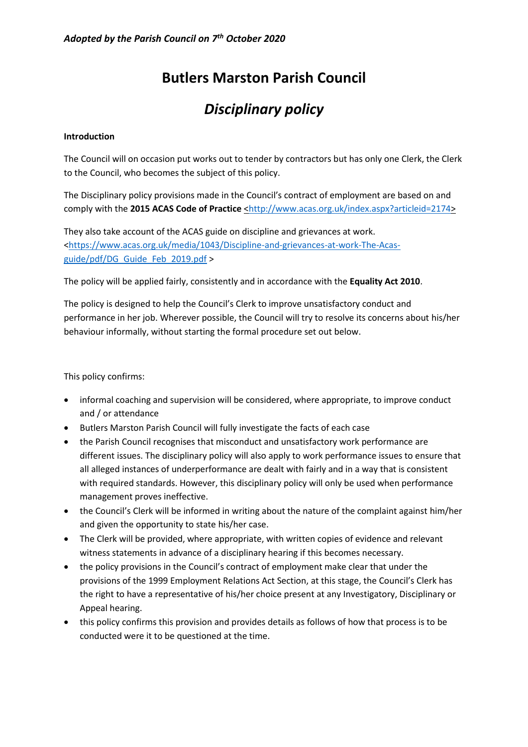# **Butlers Marston Parish Council**

# *Disciplinary policy*

## **Introduction**

The Council will on occasion put works out to tender by contractors but has only one Clerk, the Clerk to the Council, who becomes the subject of this policy.

The Disciplinary policy provisions made in the Council's contract of employment are based on and comply with the 2015 ACAS Code of Practice [<http://www.acas.org.uk/index.aspx?articleid=2174>](http://www.acas.org.uk/index.aspx?articleid=2174)

They also take account of the ACAS guide on discipline and grievances at work. [<https://www.acas.org.uk/media/1043/Discipline-and-grievances-at-work-The-Acas](https://www.acas.org.uk/media/1043/Discipline-and-grievances-at-work-The-Acas-guide/pdf/DG_Guide_Feb_2019.pdf)[guide/pdf/DG\\_Guide\\_Feb\\_2019.pdf](https://www.acas.org.uk/media/1043/Discipline-and-grievances-at-work-The-Acas-guide/pdf/DG_Guide_Feb_2019.pdf) >

The policy will be applied fairly, consistently and in accordance with the **Equality Act 2010**.

The policy is designed to help the Council's Clerk to improve unsatisfactory conduct and performance in her job. Wherever possible, the Council will try to resolve its concerns about his/her behaviour informally, without starting the formal procedure set out below.

This policy confirms:

- informal coaching and supervision will be considered, where appropriate, to improve conduct and / or attendance
- Butlers Marston Parish Council will fully investigate the facts of each case
- the Parish Council recognises that misconduct and unsatisfactory work performance are different issues. The disciplinary policy will also apply to work performance issues to ensure that all alleged instances of underperformance are dealt with fairly and in a way that is consistent with required standards. However, this disciplinary policy will only be used when performance management proves ineffective.
- the Council's Clerk will be informed in writing about the nature of the complaint against him/her and given the opportunity to state his/her case.
- The Clerk will be provided, where appropriate, with written copies of evidence and relevant witness statements in advance of a disciplinary hearing if this becomes necessary.
- the policy provisions in the Council's contract of employment make clear that under the provisions of the 1999 Employment Relations Act Section, at this stage, the Council's Clerk has the right to have a representative of his/her choice present at any Investigatory, Disciplinary or Appeal hearing.
- this policy confirms this provision and provides details as follows of how that process is to be conducted were it to be questioned at the time.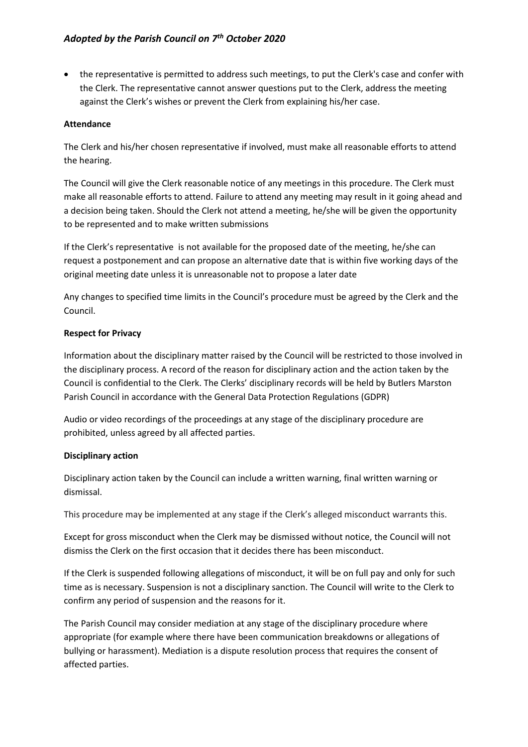• the representative is permitted to address such meetings, to put the Clerk's case and confer with the Clerk. The representative cannot answer questions put to the Clerk, address the meeting against the Clerk's wishes or prevent the Clerk from explaining his/her case.

## **Attendance**

The Clerk and his/her chosen representative if involved, must make all reasonable efforts to attend the hearing.

The Council will give the Clerk reasonable notice of any meetings in this procedure. The Clerk must make all reasonable efforts to attend. Failure to attend any meeting may result in it going ahead and a decision being taken. Should the Clerk not attend a meeting, he/she will be given the opportunity to be represented and to make written submissions

If the Clerk's representative is not available for the proposed date of the meeting, he/she can request a postponement and can propose an alternative date that is within five working days of the original meeting date unless it is unreasonable not to propose a later date

Any changes to specified time limits in the Council's procedure must be agreed by the Clerk and the Council.

## **Respect for Privacy**

Information about the disciplinary matter raised by the Council will be restricted to those involved in the disciplinary process. A record of the reason for disciplinary action and the action taken by the Council is confidential to the Clerk. The Clerks' disciplinary records will be held by Butlers Marston Parish Council in accordance with the General Data Protection Regulations (GDPR)

Audio or video recordings of the proceedings at any stage of the disciplinary procedure are prohibited, unless agreed by all affected parties.

#### **Disciplinary action**

Disciplinary action taken by the Council can include a written warning, final written warning or dismissal.

This procedure may be implemented at any stage if the Clerk's alleged misconduct warrants this.

Except for gross misconduct when the Clerk may be dismissed without notice, the Council will not dismiss the Clerk on the first occasion that it decides there has been misconduct.

If the Clerk is suspended following allegations of misconduct, it will be on full pay and only for such time as is necessary. Suspension is not a disciplinary sanction. The Council will write to the Clerk to confirm any period of suspension and the reasons for it.

The Parish Council may consider mediation at any stage of the disciplinary procedure where appropriate (for example where there have been communication breakdowns or allegations of bullying or harassment). Mediation is a dispute resolution process that requires the consent of affected parties.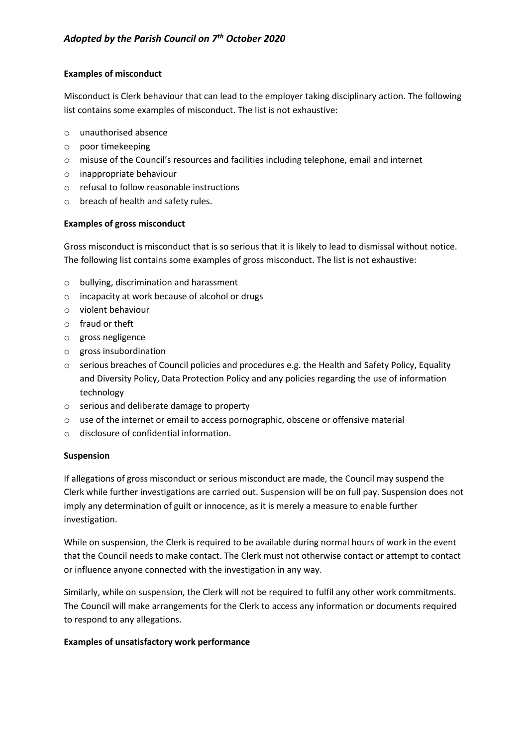# **Examples of misconduct**

Misconduct is Clerk behaviour that can lead to the employer taking disciplinary action. The following list contains some examples of misconduct. The list is not exhaustive:

- o unauthorised absence
- o poor timekeeping
- o misuse of the Council's resources and facilities including telephone, email and internet
- o inappropriate behaviour
- o refusal to follow reasonable instructions
- o breach of health and safety rules.

#### **Examples of gross misconduct**

Gross misconduct is misconduct that is so serious that it is likely to lead to dismissal without notice. The following list contains some examples of gross misconduct. The list is not exhaustive:

- o bullying, discrimination and harassment
- o incapacity at work because of alcohol or drugs
- o violent behaviour
- o fraud or theft
- o gross negligence
- o gross insubordination
- $\circ$  serious breaches of Council policies and procedures e.g. the Health and Safety Policy, Equality and Diversity Policy, Data Protection Policy and any policies regarding the use of information technology
- o serious and deliberate damage to property
- $\circ$  use of the internet or email to access pornographic, obscene or offensive material
- o disclosure of confidential information.

#### **Suspension**

If allegations of gross misconduct or serious misconduct are made, the Council may suspend the Clerk while further investigations are carried out. Suspension will be on full pay. Suspension does not imply any determination of guilt or innocence, as it is merely a measure to enable further investigation.

While on suspension, the Clerk is required to be available during normal hours of work in the event that the Council needs to make contact. The Clerk must not otherwise contact or attempt to contact or influence anyone connected with the investigation in any way.

Similarly, while on suspension, the Clerk will not be required to fulfil any other work commitments. The Council will make arrangements for the Clerk to access any information or documents required to respond to any allegations.

#### **Examples of unsatisfactory work performance**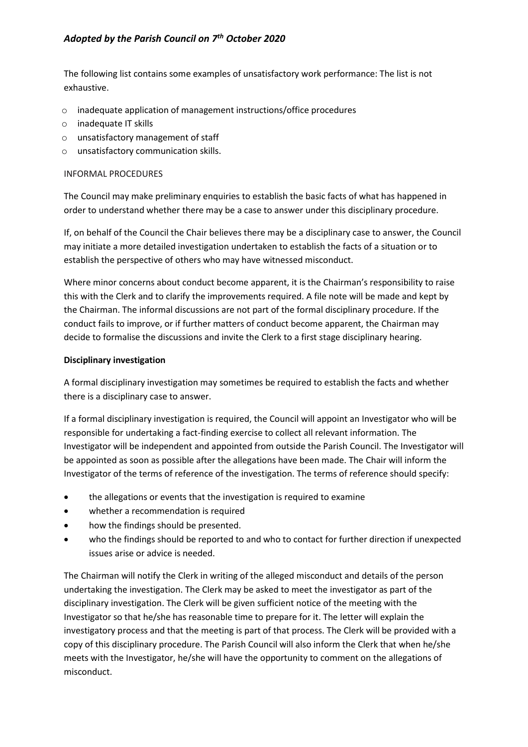# *Adopted by the Parish Council on 7th October 2020*

The following list contains some examples of unsatisfactory work performance: The list is not exhaustive.

- o inadequate application of management instructions/office procedures
- o inadequate IT skills
- o unsatisfactory management of staff
- o unsatisfactory communication skills.

#### INFORMAL PROCEDURES

The Council may make preliminary enquiries to establish the basic facts of what has happened in order to understand whether there may be a case to answer under this disciplinary procedure.

If, on behalf of the Council the Chair believes there may be a disciplinary case to answer, the Council may initiate a more detailed investigation undertaken to establish the facts of a situation or to establish the perspective of others who may have witnessed misconduct.

Where minor concerns about conduct become apparent, it is the Chairman's responsibility to raise this with the Clerk and to clarify the improvements required. A file note will be made and kept by the Chairman. The informal discussions are not part of the formal disciplinary procedure. If the conduct fails to improve, or if further matters of conduct become apparent, the Chairman may decide to formalise the discussions and invite the Clerk to a first stage disciplinary hearing.

## **Disciplinary investigation**

A formal disciplinary investigation may sometimes be required to establish the facts and whether there is a disciplinary case to answer.

If a formal disciplinary investigation is required, the Council will appoint an Investigator who will be responsible for undertaking a fact-finding exercise to collect all relevant information. The Investigator will be independent and appointed from outside the Parish Council. The Investigator will be appointed as soon as possible after the allegations have been made. The Chair will inform the Investigator of the terms of reference of the investigation. The terms of reference should specify:

- the allegations or events that the investigation is required to examine
- whether a recommendation is required
- how the findings should be presented.
- who the findings should be reported to and who to contact for further direction if unexpected issues arise or advice is needed.

The Chairman will notify the Clerk in writing of the alleged misconduct and details of the person undertaking the investigation. The Clerk may be asked to meet the investigator as part of the disciplinary investigation. The Clerk will be given sufficient notice of the meeting with the Investigator so that he/she has reasonable time to prepare for it. The letter will explain the investigatory process and that the meeting is part of that process. The Clerk will be provided with a copy of this disciplinary procedure. The Parish Council will also inform the Clerk that when he/she meets with the Investigator, he/she will have the opportunity to comment on the allegations of misconduct.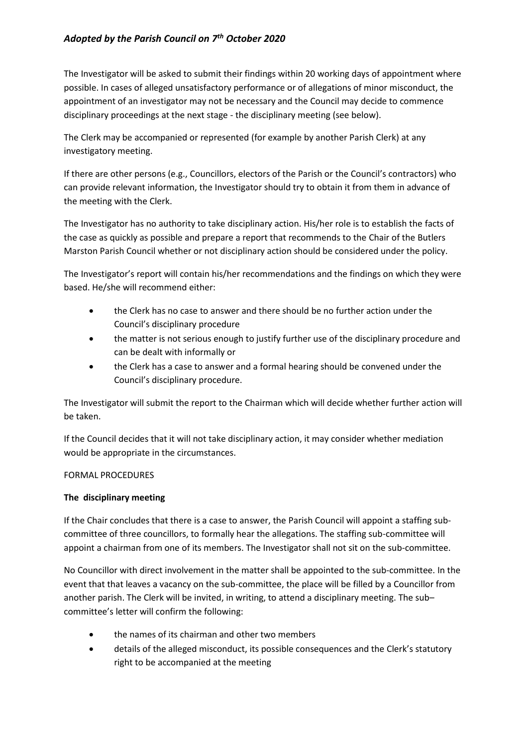# *Adopted by the Parish Council on 7th October 2020*

The Investigator will be asked to submit their findings within 20 working days of appointment where possible. In cases of alleged unsatisfactory performance or of allegations of minor misconduct, the appointment of an investigator may not be necessary and the Council may decide to commence disciplinary proceedings at the next stage - the disciplinary meeting (see below).

The Clerk may be accompanied or represented (for example by another Parish Clerk) at any investigatory meeting.

If there are other persons (e.g., Councillors, electors of the Parish or the Council's contractors) who can provide relevant information, the Investigator should try to obtain it from them in advance of the meeting with the Clerk.

The Investigator has no authority to take disciplinary action. His/her role is to establish the facts of the case as quickly as possible and prepare a report that recommends to the Chair of the Butlers Marston Parish Council whether or not disciplinary action should be considered under the policy.

The Investigator's report will contain his/her recommendations and the findings on which they were based. He/she will recommend either:

- the Clerk has no case to answer and there should be no further action under the Council's disciplinary procedure
- the matter is not serious enough to justify further use of the disciplinary procedure and can be dealt with informally or
- the Clerk has a case to answer and a formal hearing should be convened under the Council's disciplinary procedure.

The Investigator will submit the report to the Chairman which will decide whether further action will be taken.

If the Council decides that it will not take disciplinary action, it may consider whether mediation would be appropriate in the circumstances.

# FORMAL PROCEDURES

#### **The disciplinary meeting**

If the Chair concludes that there is a case to answer, the Parish Council will appoint a staffing subcommittee of three councillors, to formally hear the allegations. The staffing sub-committee will appoint a chairman from one of its members. The Investigator shall not sit on the sub-committee.

No Councillor with direct involvement in the matter shall be appointed to the sub-committee. In the event that that leaves a vacancy on the sub-committee, the place will be filled by a Councillor from another parish. The Clerk will be invited, in writing, to attend a disciplinary meeting. The sub– committee's letter will confirm the following:

- the names of its chairman and other two members
- details of the alleged misconduct, its possible consequences and the Clerk's statutory right to be accompanied at the meeting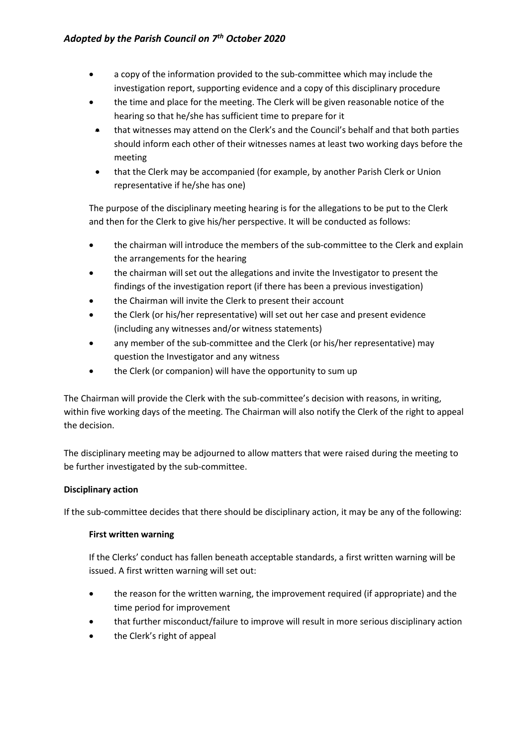- a copy of the information provided to the sub-committee which may include the investigation report, supporting evidence and a copy of this disciplinary procedure
- the time and place for the meeting. The Clerk will be given reasonable notice of the hearing so that he/she has sufficient time to prepare for it
- that witnesses may attend on the Clerk's and the Council's behalf and that both parties should inform each other of their witnesses names at least two working days before the meeting
- that the Clerk may be accompanied (for example, by another Parish Clerk or Union representative if he/she has one)

The purpose of the disciplinary meeting hearing is for the allegations to be put to the Clerk and then for the Clerk to give his/her perspective. It will be conducted as follows:

- the chairman will introduce the members of the sub-committee to the Clerk and explain the arrangements for the hearing
- the chairman will set out the allegations and invite the Investigator to present the findings of the investigation report (if there has been a previous investigation)
- the Chairman will invite the Clerk to present their account
- the Clerk (or his/her representative) will set out her case and present evidence (including any witnesses and/or witness statements)
- any member of the sub-committee and the Clerk (or his/her representative) may question the Investigator and any witness
- the Clerk (or companion) will have the opportunity to sum up

The Chairman will provide the Clerk with the sub-committee's decision with reasons, in writing, within five working days of the meeting. The Chairman will also notify the Clerk of the right to appeal the decision.

The disciplinary meeting may be adjourned to allow matters that were raised during the meeting to be further investigated by the sub-committee.

# **Disciplinary action**

If the sub-committee decides that there should be disciplinary action, it may be any of the following:

# **First written warning**

If the Clerks' conduct has fallen beneath acceptable standards, a first written warning will be issued. A first written warning will set out:

- the reason for the written warning, the improvement required (if appropriate) and the time period for improvement
- that further misconduct/failure to improve will result in more serious disciplinary action
- the Clerk's right of appeal